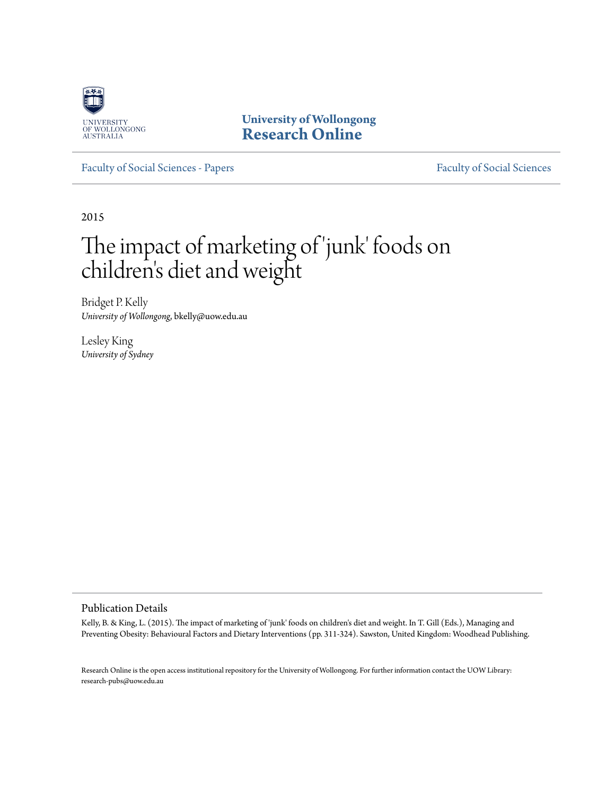

**University of Wollongong [Research Online](http://ro.uow.edu.au)**

[Faculty of Social Sciences - Papers](http://ro.uow.edu.au/sspapers) [Faculty of Social Sciences](http://ro.uow.edu.au/ss)

2015

# The impact of marketing of 'junk' foods on children 's diet and weight

Bridget P. Kelly *University of Wollongong*, bkelly@uow.edu.au

Lesley King *University of Sydney*

### Publication Details

Kelly, B. & King, L. (2015). The impact of marketing of 'junk' foods on children's diet and weight. In T. Gill (Eds.), Managing and Preventing Obesity: Behavioural Factors and Dietary Interventions (pp. 311-324). Sawston, United Kingdom: Woodhead Publishing.

Research Online is the open access institutional repository for the University of Wollongong. For further information contact the UOW Library: research-pubs@uow.edu.au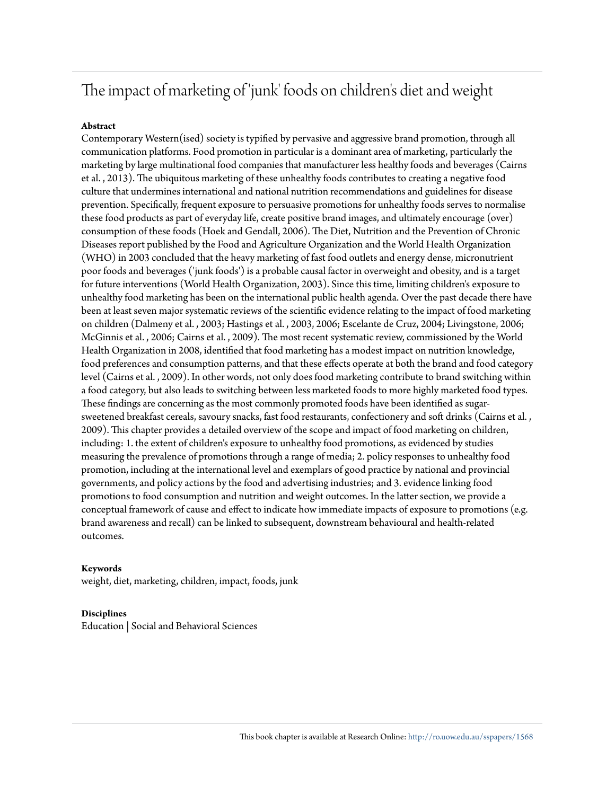### The impact of marketing of 'junk' foods on children's diet and weight

### **Abstract**

Contemporary Western(ised) society is typified by pervasive and aggressive brand promotion, through all communication platforms. Food promotion in particular is a dominant area of marketing, particularly the marketing by large multinational food companies that manufacturer less healthy foods and beverages (Cairns et al. , 2013). The ubiquitous marketing of these unhealthy foods contributes to creating a negative food culture that undermines international and national nutrition recommendations and guidelines for disease prevention. Specifically, frequent exposure to persuasive promotions for unhealthy foods serves to normalise these food products as part of everyday life, create positive brand images, and ultimately encourage (over) consumption of these foods (Hoek and Gendall, 2006). The Diet, Nutrition and the Prevention of Chronic Diseases report published by the Food and Agriculture Organization and the World Health Organization (WHO) in 2003 concluded that the heavy marketing of fast food outlets and energy dense, micronutrient poor foods and beverages ('junk foods') is a probable causal factor in overweight and obesity, and is a target for future interventions (World Health Organization, 2003). Since this time, limiting children's exposure to unhealthy food marketing has been on the international public health agenda. Over the past decade there have been at least seven major systematic reviews of the scientific evidence relating to the impact of food marketing on children (Dalmeny et al. , 2003; Hastings et al. , 2003, 2006; Escelante de Cruz, 2004; Livingstone, 2006; McGinnis et al. , 2006; Cairns et al. , 2009). The most recent systematic review, commissioned by the World Health Organization in 2008, identified that food marketing has a modest impact on nutrition knowledge, food preferences and consumption patterns, and that these effects operate at both the brand and food category level (Cairns et al. , 2009). In other words, not only does food marketing contribute to brand switching within a food category, but also leads to switching between less marketed foods to more highly marketed food types. These findings are concerning as the most commonly promoted foods have been identified as sugarsweetened breakfast cereals, savoury snacks, fast food restaurants, confectionery and soft drinks (Cairns et al. , 2009). This chapter provides a detailed overview of the scope and impact of food marketing on children, including: 1. the extent of children's exposure to unhealthy food promotions, as evidenced by studies measuring the prevalence of promotions through a range of media; 2. policy responses to unhealthy food promotion, including at the international level and exemplars of good practice by national and provincial governments, and policy actions by the food and advertising industries; and 3. evidence linking food promotions to food consumption and nutrition and weight outcomes. In the latter section, we provide a conceptual framework of cause and effect to indicate how immediate impacts of exposure to promotions (e.g. brand awareness and recall) can be linked to subsequent, downstream behavioural and health-related outcomes.

### **Keywords**

weight, diet, marketing, children, impact, foods, junk

#### **Disciplines**

Education | Social and Behavioral Sciences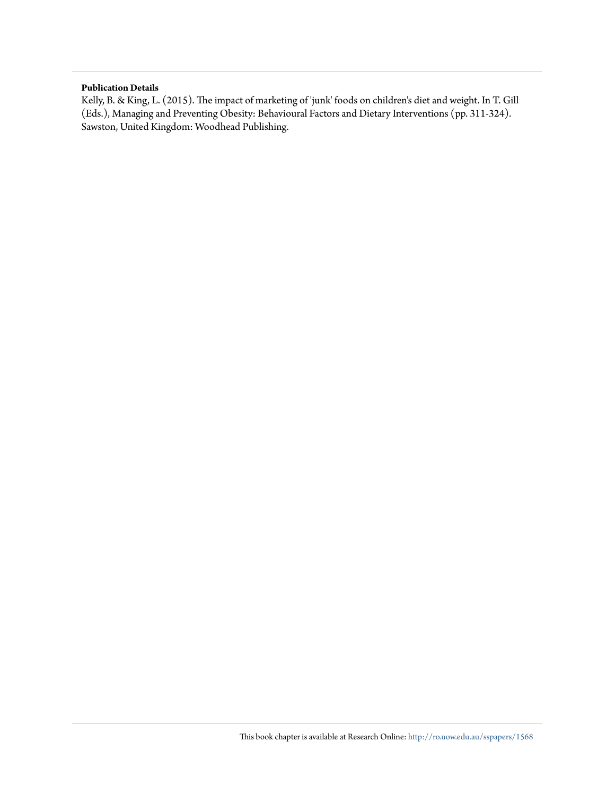#### **Publication Details**

Kelly, B. & King, L. (2015). The impact of marketing of 'junk' foods on children's diet and weight. In T. Gill (Eds.), Managing and Preventing Obesity: Behavioural Factors and Dietary Interventions (pp. 311-324). Sawston, United Kingdom: Woodhead Publishing.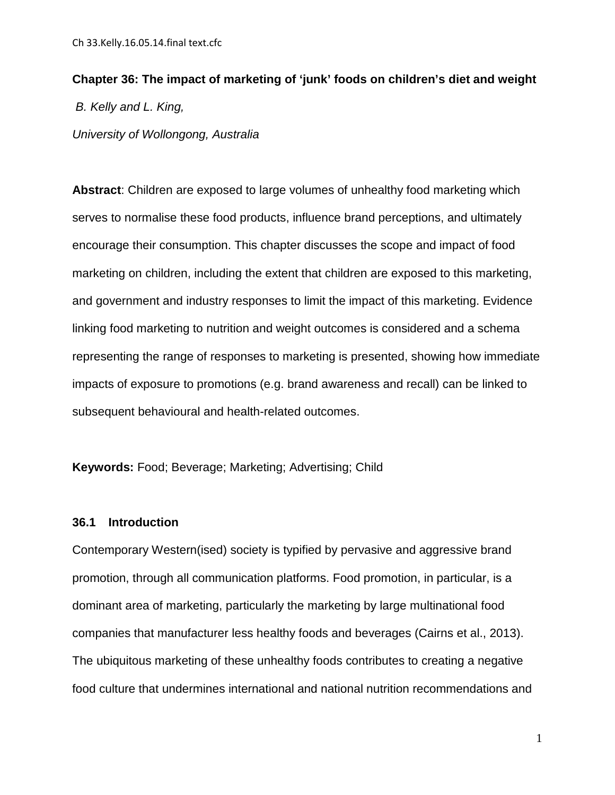## **Chapter 36: The impact of marketing of 'junk' foods on children's diet and weight** *B. Kelly and L. King, University of Wollongong, Australia*

**Abstract**: Children are exposed to large volumes of unhealthy food marketing which serves to normalise these food products, influence brand perceptions, and ultimately encourage their consumption. This chapter discusses the scope and impact of food marketing on children, including the extent that children are exposed to this marketing, and government and industry responses to limit the impact of this marketing. Evidence linking food marketing to nutrition and weight outcomes is considered and a schema representing the range of responses to marketing is presented, showing how immediate impacts of exposure to promotions (e.g. brand awareness and recall) can be linked to subsequent behavioural and health-related outcomes.

**Keywords:** Food; Beverage; Marketing; Advertising; Child

### **36.1 Introduction**

Contemporary Western(ised) society is typified by pervasive and aggressive brand promotion, through all communication platforms. Food promotion, in particular, is a dominant area of marketing, particularly the marketing by large multinational food companies that manufacturer less healthy foods and beverages [\(Cairns et al., 2013\)](#page-22-0). The ubiquitous marketing of these unhealthy foods contributes to creating a negative food culture that undermines international and national nutrition recommendations and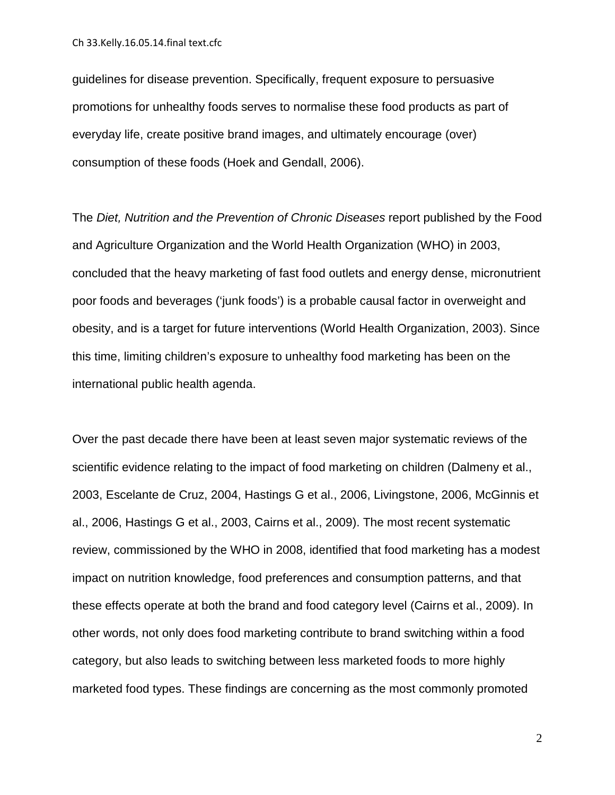guidelines for disease prevention. Specifically, frequent exposure to persuasive promotions for unhealthy foods serves to normalise these food products as part of everyday life, create positive brand images, and ultimately encourage (over) consumption of these foods [\(Hoek and Gendall, 2006\)](#page-24-0).

The *Diet, Nutrition and the Prevention of Chronic Diseases* report published by the Food and Agriculture Organization and the World Health Organization (WHO) in 2003, concluded that the heavy marketing of fast food outlets and energy dense, micronutrient poor foods and beverages ('junk foods') is a probable causal factor in overweight and obesity, and is a target for future interventions [\(World Health Organization, 2003\)](#page-28-0). Since this time, limiting children's exposure to unhealthy food marketing has been on the international public health agenda.

Over the past decade there have been at least seven major systematic reviews of the scientific evidence relating to the impact of food marketing on children [\(Dalmeny et al.,](#page-22-1)  [2003,](#page-22-1) [Escelante de Cruz, 2004,](#page-22-2) [Hastings G et al., 2006,](#page-23-0) [Livingstone, 2006,](#page-26-0) [McGinnis et](#page-27-0)  [al., 2006,](#page-27-0) [Hastings G et al., 2003,](#page-23-1) [Cairns et al., 2009\)](#page-21-0). The most recent systematic review, commissioned by the WHO in 2008, identified that food marketing has a modest impact on nutrition knowledge, food preferences and consumption patterns, and that these effects operate at both the brand and food category level [\(Cairns et al., 2009\)](#page-21-0). In other words, not only does food marketing contribute to brand switching within a food category, but also leads to switching between less marketed foods to more highly marketed food types. These findings are concerning as the most commonly promoted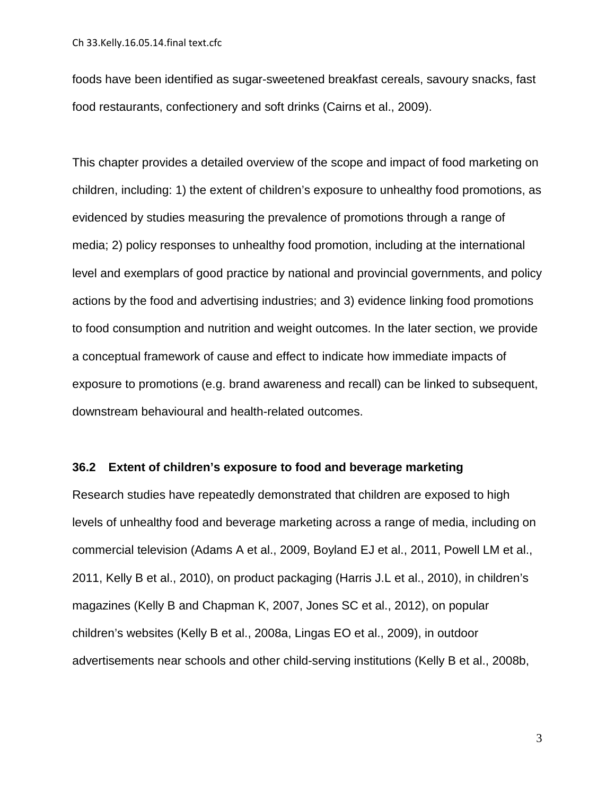foods have been identified as sugar-sweetened breakfast cereals, savoury snacks, fast food restaurants, confectionery and soft drinks [\(Cairns et al., 2009\)](#page-21-0).

This chapter provides a detailed overview of the scope and impact of food marketing on children, including: 1) the extent of children's exposure to unhealthy food promotions, as evidenced by studies measuring the prevalence of promotions through a range of media; 2) policy responses to unhealthy food promotion, including at the international level and exemplars of good practice by national and provincial governments, and policy actions by the food and advertising industries; and 3) evidence linking food promotions to food consumption and nutrition and weight outcomes. In the later section, we provide a conceptual framework of cause and effect to indicate how immediate impacts of exposure to promotions (e.g. brand awareness and recall) can be linked to subsequent, downstream behavioural and health-related outcomes.

### **36.2 Extent of children's exposure to food and beverage marketing**

Research studies have repeatedly demonstrated that children are exposed to high levels of unhealthy food and beverage marketing across a range of media, including on commercial television [\(Adams A et al., 2009,](#page-21-1) [Boyland EJ et al., 2011,](#page-21-2) [Powell LM et al.,](#page-27-1)  [2011,](#page-27-1) [Kelly B et al., 2010\)](#page-25-0), on product packaging [\(Harris J.L et al., 2010\)](#page-23-2), in children's magazines [\(Kelly B and Chapman K, 2007,](#page-25-1) [Jones SC et al., 2012\)](#page-24-1), on popular children's websites [\(Kelly B et al., 2008a,](#page-25-2) [Lingas EO et al., 2009\)](#page-26-1), in outdoor advertisements near schools and other child-serving institutions [\(Kelly B et al., 2008b,](#page-25-3)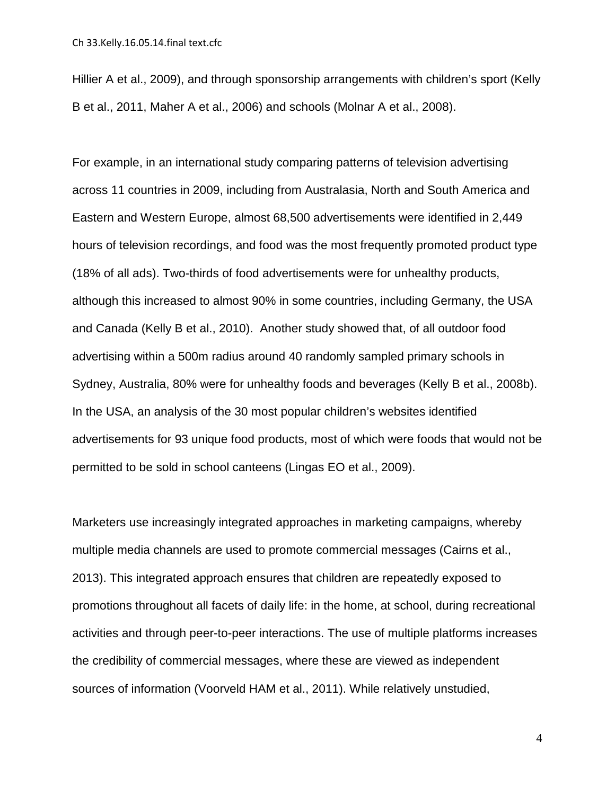[Hillier A et al., 2009\)](#page-24-2), and through sponsorship arrangements with children's sport [\(Kelly](#page-24-3)  [B et al., 2011,](#page-24-3) [Maher A et al., 2006\)](#page-26-2) and schools [\(Molnar A et al., 2008\)](#page-27-2).

For example, in an international study comparing patterns of television advertising across 11 countries in 2009, including from Australasia, North and South America and Eastern and Western Europe, almost 68,500 advertisements were identified in 2,449 hours of television recordings, and food was the most frequently promoted product type (18% of all ads). Two-thirds of food advertisements were for unhealthy products, although this increased to almost 90% in some countries, including Germany, the USA and Canada [\(Kelly B et al., 2010\)](#page-25-0). Another study showed that, of all outdoor food advertising within a 500m radius around 40 randomly sampled primary schools in Sydney, Australia, 80% were for unhealthy foods and beverages [\(Kelly B et al., 2008b\)](#page-25-3). In the USA, an analysis of the 30 most popular children's websites identified advertisements for 93 unique food products, most of which were foods that would not be permitted to be sold in school canteens [\(Lingas EO et al., 2009\)](#page-26-1).

Marketers use increasingly integrated approaches in marketing campaigns, whereby multiple media channels are used to promote commercial messages [\(Cairns et al.,](#page-22-0)  [2013\)](#page-22-0). This integrated approach ensures that children are repeatedly exposed to promotions throughout all facets of daily life: in the home, at school, during recreational activities and through peer-to-peer interactions. The use of multiple platforms increases the credibility of commercial messages, where these are viewed as independent sources of information [\(Voorveld HAM et al., 2011\)](#page-28-1). While relatively unstudied,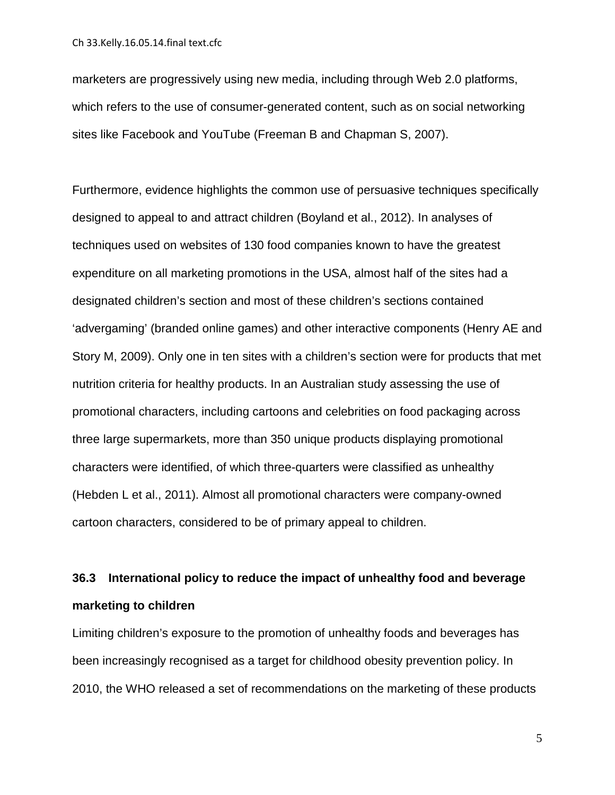marketers are progressively using new media, including through Web 2.0 platforms, which refers to the use of consumer-generated content, such as on social networking sites like Facebook and YouTube [\(Freeman B and Chapman S, 2007\)](#page-23-3).

Furthermore, evidence highlights the common use of persuasive techniques specifically designed to appeal to and attract children [\(Boyland et al., 2012\)](#page-21-3). In analyses of techniques used on websites of 130 food companies known to have the greatest expenditure on all marketing promotions in the USA, almost half of the sites had a designated children's section and most of these children's sections contained 'advergaming' (branded online games) and other interactive components [\(Henry AE and](#page-24-4)  [Story M, 2009\)](#page-24-4). Only one in ten sites with a children's section were for products that met nutrition criteria for healthy products. In an Australian study assessing the use of promotional characters, including cartoons and celebrities on food packaging across three large supermarkets, more than 350 unique products displaying promotional characters were identified, of which three-quarters were classified as unhealthy [\(Hebden L et al., 2011\)](#page-24-5). Almost all promotional characters were company-owned cartoon characters, considered to be of primary appeal to children.

### **36.3 International policy to reduce the impact of unhealthy food and beverage marketing to children**

Limiting children's exposure to the promotion of unhealthy foods and beverages has been increasingly recognised as a target for childhood obesity prevention policy. In 2010, the WHO released a set of recommendations on the marketing of these products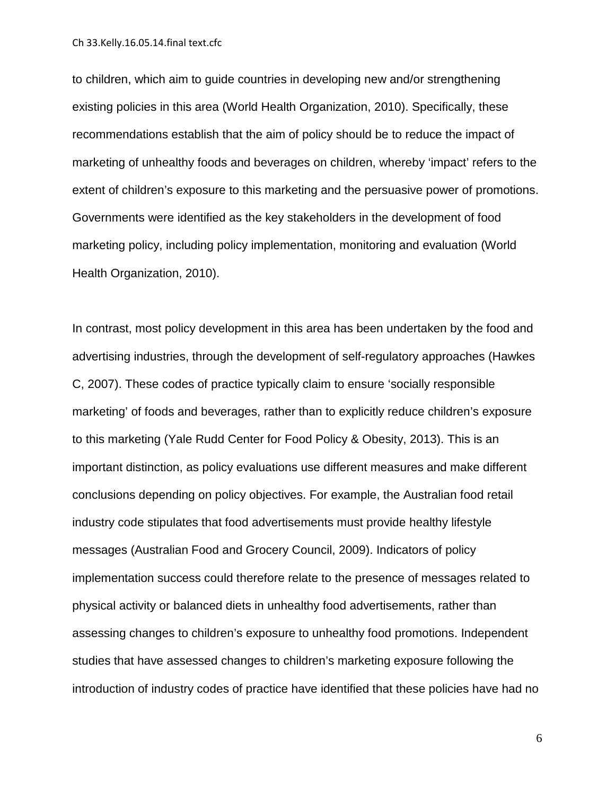to children, which aim to guide countries in developing new and/or strengthening existing policies in this area [\(World Health Organization, 2010\)](#page-28-2). Specifically, these recommendations establish that the aim of policy should be to reduce the impact of marketing of unhealthy foods and beverages on children, whereby 'impact' refers to the extent of children's exposure to this marketing and the persuasive power of promotions. Governments were identified as the key stakeholders in the development of food marketing policy, including policy implementation, monitoring and evaluation [\(World](#page-28-2)  [Health Organization, 2010\)](#page-28-2).

In contrast, most policy development in this area has been undertaken by the food and advertising industries, through the development of self-regulatory approaches [\(Hawkes](#page-24-6)  [C, 2007\)](#page-24-6). These codes of practice typically claim to ensure 'socially responsible marketing' of foods and beverages, rather than to explicitly reduce children's exposure to this marketing [\(Yale Rudd Center for Food Policy & Obesity, 2013\)](#page-28-3). This is an important distinction, as policy evaluations use different measures and make different conclusions depending on policy objectives. For example, the Australian food retail industry code stipulates that food advertisements must provide healthy lifestyle messages [\(Australian Food and Grocery Council, 2009\)](#page-21-4). Indicators of policy implementation success could therefore relate to the presence of messages related to physical activity or balanced diets in unhealthy food advertisements, rather than assessing changes to children's exposure to unhealthy food promotions. Independent studies that have assessed changes to children's marketing exposure following the introduction of industry codes of practice have identified that these policies have had no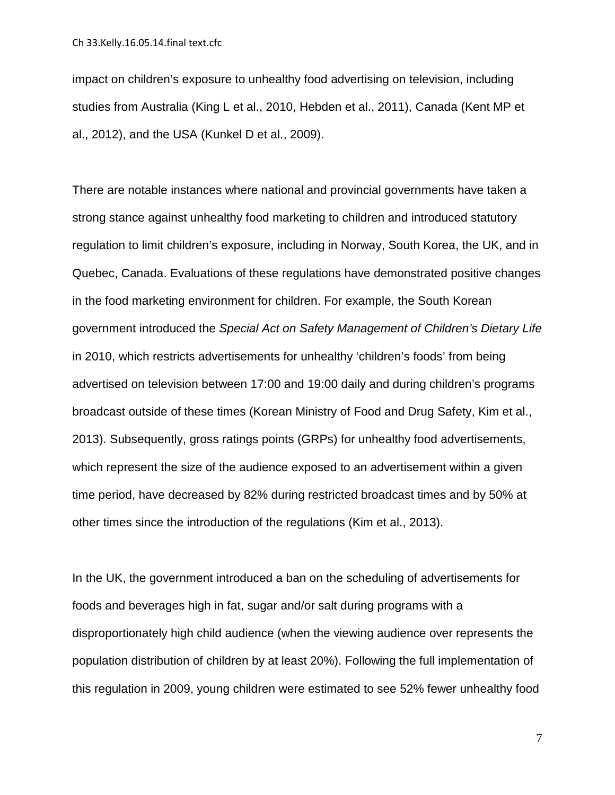impact on children's exposure to unhealthy food advertising on television, including studies from Australia [\(King L et al., 2010,](#page-25-4) [Hebden et al., 2011\)](#page-24-7), Canada [\(Kent MP et](#page-25-5)  [al., 2012\)](#page-25-5), and the USA [\(Kunkel D et al., 2009\)](#page-26-3).

There are notable instances where national and provincial governments have taken a strong stance against unhealthy food marketing to children and introduced statutory regulation to limit children's exposure, including in Norway, South Korea, the UK, and in Quebec, Canada. Evaluations of these regulations have demonstrated positive changes in the food marketing environment for children. For example, the South Korean government introduced the *Special Act on Safety Management of Children's Dietary Life* in 2010, which restricts advertisements for unhealthy 'children's foods' from being advertised on television between 17:00 and 19:00 daily and during children's programs broadcast outside of these times [\(Korean Ministry of Food and Drug Safety,](#page-26-4) [Kim et al.,](#page-25-6)  [2013\)](#page-25-6). Subsequently, gross ratings points (GRPs) for unhealthy food advertisements, which represent the size of the audience exposed to an advertisement within a given time period, have decreased by 82% during restricted broadcast times and by 50% at other times since the introduction of the regulations [\(Kim et al., 2013\)](#page-25-6).

In the UK, the government introduced a ban on the scheduling of advertisements for foods and beverages high in fat, sugar and/or salt during programs with a disproportionately high child audience (when the viewing audience over represents the population distribution of children by at least 20%). Following the full implementation of this regulation in 2009, young children were estimated to see 52% fewer unhealthy food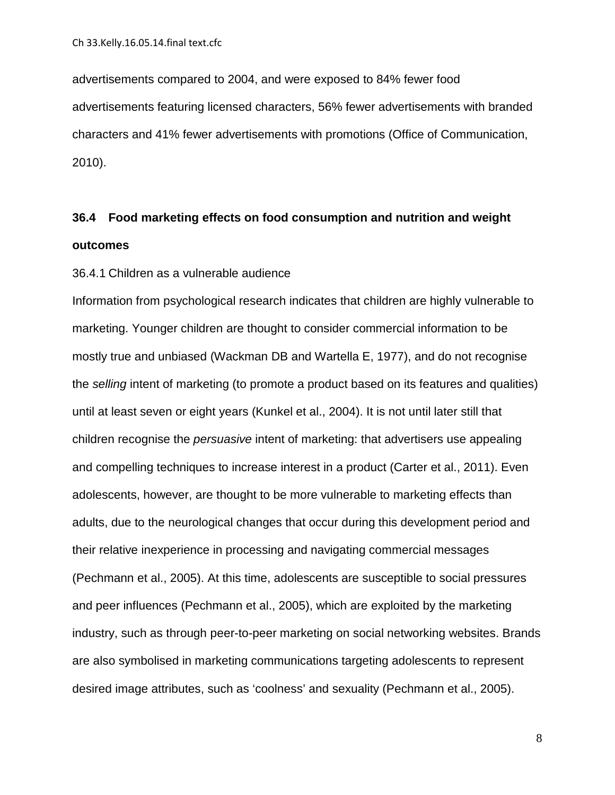advertisements compared to 2004, and were exposed to 84% fewer food advertisements featuring licensed characters, 56% fewer advertisements with branded characters and 41% fewer advertisements with promotions [\(Office of Communication,](#page-27-3)  [2010\)](#page-27-3).

### **36.4 Food marketing effects on food consumption and nutrition and weight outcomes**

### 36.4.1 Children as a vulnerable audience

Information from psychological research indicates that children are highly vulnerable to marketing. Younger children are thought to consider commercial information to be mostly true and unbiased [\(Wackman DB and Wartella E, 1977\)](#page-28-4), and do not recognise the *selling* intent of marketing (to promote a product based on its features and qualities) until at least seven or eight years [\(Kunkel et al., 2004\)](#page-26-5). It is not until later still that children recognise the *persuasive* intent of marketing: that advertisers use appealing and compelling techniques to increase interest in a product [\(Carter et al., 2011\)](#page-22-3). Even adolescents, however, are thought to be more vulnerable to marketing effects than adults, due to the neurological changes that occur during this development period and their relative inexperience in processing and navigating commercial messages [\(Pechmann et al., 2005\)](#page-27-4). At this time, adolescents are susceptible to social pressures and peer influences [\(Pechmann et al., 2005\)](#page-27-4), which are exploited by the marketing industry, such as through peer-to-peer marketing on social networking websites. Brands are also symbolised in marketing communications targeting adolescents to represent desired image attributes, such as 'coolness' and sexuality [\(Pechmann et al., 2005\)](#page-27-4).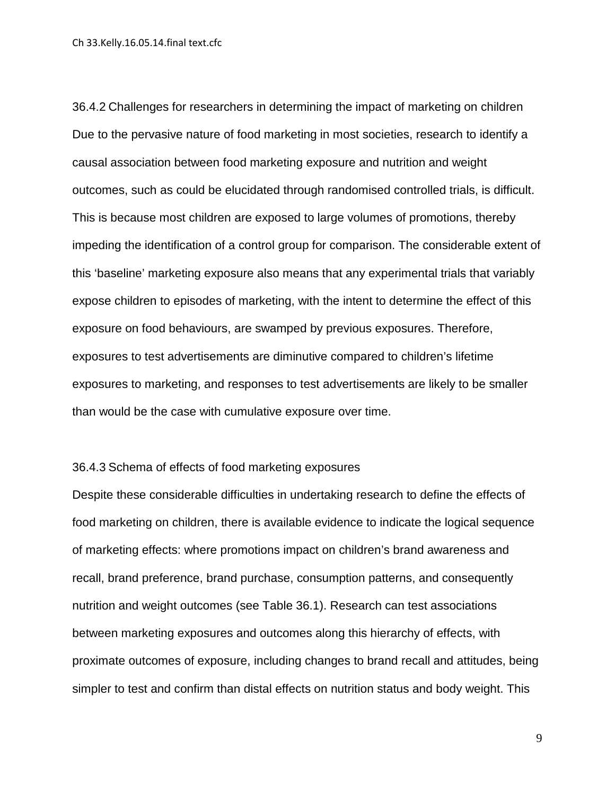36.4.2 Challenges for researchers in determining the impact of marketing on children Due to the pervasive nature of food marketing in most societies, research to identify a causal association between food marketing exposure and nutrition and weight outcomes, such as could be elucidated through randomised controlled trials, is difficult. This is because most children are exposed to large volumes of promotions, thereby impeding the identification of a control group for comparison. The considerable extent of this 'baseline' marketing exposure also means that any experimental trials that variably expose children to episodes of marketing, with the intent to determine the effect of this exposure on food behaviours, are swamped by previous exposures. Therefore, exposures to test advertisements are diminutive compared to children's lifetime exposures to marketing, and responses to test advertisements are likely to be smaller than would be the case with cumulative exposure over time.

### 36.4.3 Schema of effects of food marketing exposures

Despite these considerable difficulties in undertaking research to define the effects of food marketing on children, there is available evidence to indicate the logical sequence of marketing effects: where promotions impact on children's brand awareness and recall, brand preference, brand purchase, consumption patterns, and consequently nutrition and weight outcomes (see Table 36.1). Research can test associations between marketing exposures and outcomes along this hierarchy of effects, with proximate outcomes of exposure, including changes to brand recall and attitudes, being simpler to test and confirm than distal effects on nutrition status and body weight. This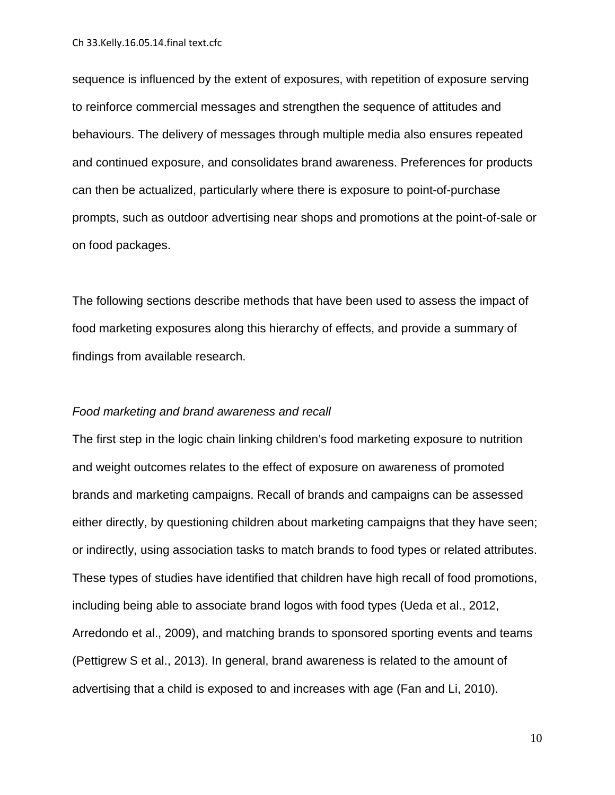sequence is influenced by the extent of exposures, with repetition of exposure serving to reinforce commercial messages and strengthen the sequence of attitudes and behaviours. The delivery of messages through multiple media also ensures repeated and continued exposure, and consolidates brand awareness. Preferences for products can then be actualized, particularly where there is exposure to point-of-purchase prompts, such as outdoor advertising near shops and promotions at the point-of-sale or on food packages.

The following sections describe methods that have been used to assess the impact of food marketing exposures along this hierarchy of effects, and provide a summary of findings from available research.

### *Food marketing and brand awareness and recall*

The first step in the logic chain linking children's food marketing exposure to nutrition and weight outcomes relates to the effect of exposure on awareness of promoted brands and marketing campaigns. Recall of brands and campaigns can be assessed either directly, by questioning children about marketing campaigns that they have seen; or indirectly, using association tasks to match brands to food types or related attributes. These types of studies have identified that children have high recall of food promotions, including being able to associate brand logos with food types [\(Ueda et al., 2012,](#page-28-5) [Arredondo et al., 2009\)](#page-21-5), and matching brands to sponsored sporting events and teams [\(Pettigrew S et al., 2013\)](#page-27-5). In general, brand awareness is related to the amount of advertising that a child is exposed to and increases with age (Fan [and Li, 2010\)](#page-22-4).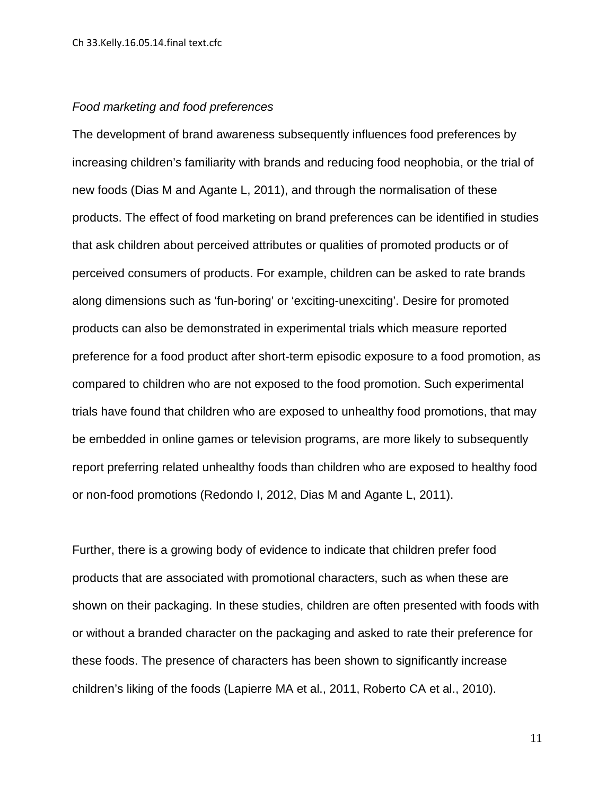### *Food marketing and food preferences*

The development of brand awareness subsequently influences food preferences by increasing children's familiarity with brands and reducing food neophobia, or the trial of new foods [\(Dias M and Agante L, 2011\)](#page-22-5), and through the normalisation of these products. The effect of food marketing on brand preferences can be identified in studies that ask children about perceived attributes or qualities of promoted products or of perceived consumers of products. For example, children can be asked to rate brands along dimensions such as 'fun-boring' or 'exciting-unexciting'. Desire for promoted products can also be demonstrated in experimental trials which measure reported preference for a food product after short-term episodic exposure to a food promotion, as compared to children who are not exposed to the food promotion. Such experimental trials have found that children who are exposed to unhealthy food promotions, that may be embedded in online games or television programs, are more likely to subsequently report preferring related unhealthy foods than children who are exposed to healthy food or non-food promotions [\(Redondo I, 2012,](#page-28-6) [Dias M and Agante L, 2011\)](#page-22-5).

Further, there is a growing body of evidence to indicate that children prefer food products that are associated with promotional characters, such as when these are shown on their packaging. In these studies, children are often presented with foods with or without a branded character on the packaging and asked to rate their preference for these foods. The presence of characters has been shown to significantly increase children's liking of the foods [\(Lapierre MA et al., 2011,](#page-26-6) [Roberto CA et al., 2010\)](#page-28-7).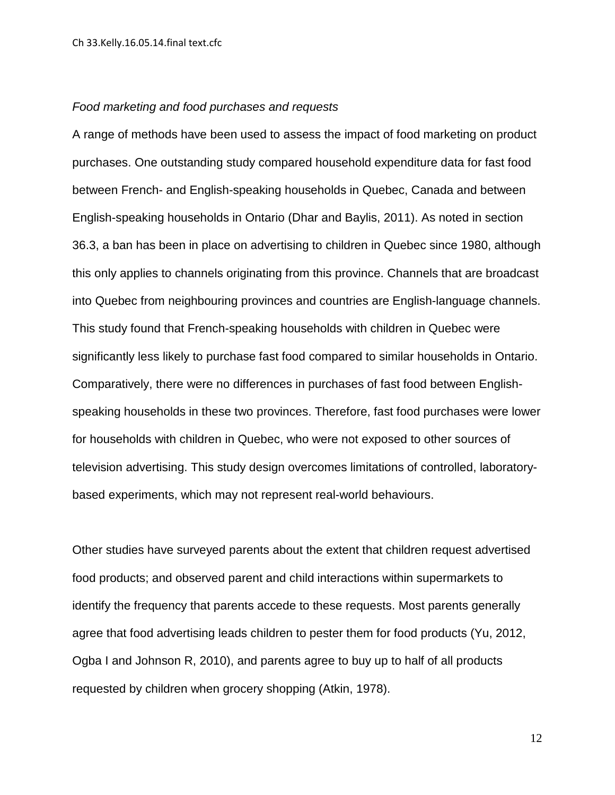### *Food marketing and food purchases and requests*

A range of methods have been used to assess the impact of food marketing on product purchases. One outstanding study compared household expenditure data for fast food between French- and English-speaking households in Quebec, Canada and between English-speaking households in Ontario [\(Dhar and Baylis, 2011\)](#page-22-6). As noted in section 36.3, a ban has been in place on advertising to children in Quebec since 1980, although this only applies to channels originating from this province. Channels that are broadcast into Quebec from neighbouring provinces and countries are English-language channels. This study found that French-speaking households with children in Quebec were significantly less likely to purchase fast food compared to similar households in Ontario. Comparatively, there were no differences in purchases of fast food between Englishspeaking households in these two provinces. Therefore, fast food purchases were lower for households with children in Quebec, who were not exposed to other sources of television advertising. This study design overcomes limitations of controlled, laboratorybased experiments, which may not represent real-world behaviours.

Other studies have surveyed parents about the extent that children request advertised food products; and observed parent and child interactions within supermarkets to identify the frequency that parents accede to these requests. Most parents generally agree that food advertising leads children to pester them for food products [\(Yu, 2012,](#page-29-0) [Ogba I and Johnson R, 2010\)](#page-27-6), and parents agree to buy up to half of all products requested by children when grocery shopping [\(Atkin, 1978\)](#page-21-6).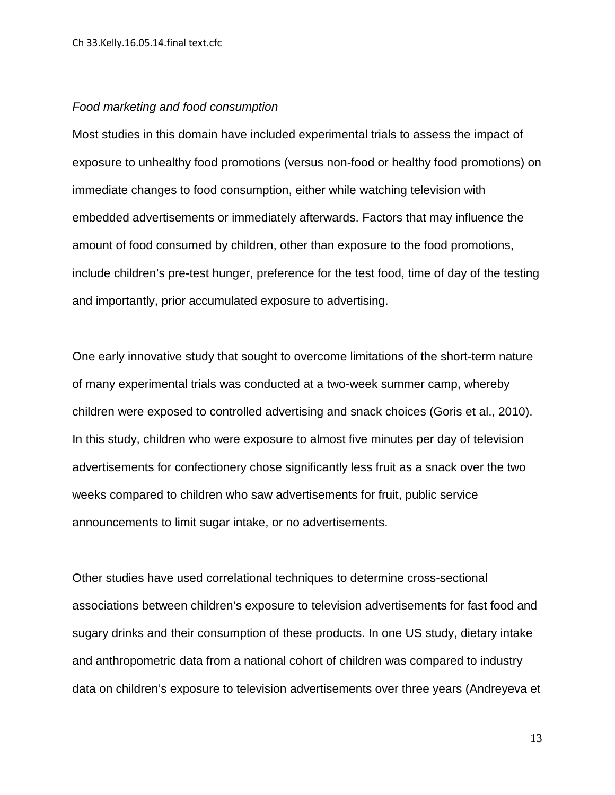### *Food marketing and food consumption*

Most studies in this domain have included experimental trials to assess the impact of exposure to unhealthy food promotions (versus non-food or healthy food promotions) on immediate changes to food consumption, either while watching television with embedded advertisements or immediately afterwards. Factors that may influence the amount of food consumed by children, other than exposure to the food promotions, include children's pre-test hunger, preference for the test food, time of day of the testing and importantly, prior accumulated exposure to advertising.

One early innovative study that sought to overcome limitations of the short-term nature of many experimental trials was conducted at a two-week summer camp, whereby children were exposed to controlled advertising and snack choices [\(Goris et al., 2010\)](#page-23-4). In this study, children who were exposure to almost five minutes per day of television advertisements for confectionery chose significantly less fruit as a snack over the two weeks compared to children who saw advertisements for fruit, public service announcements to limit sugar intake, or no advertisements.

Other studies have used correlational techniques to determine cross-sectional associations between children's exposure to television advertisements for fast food and sugary drinks and their consumption of these products. In one US study, dietary intake and anthropometric data from a national cohort of children was compared to industry data on children's exposure to television advertisements over three years [\(Andreyeva et](#page-21-7)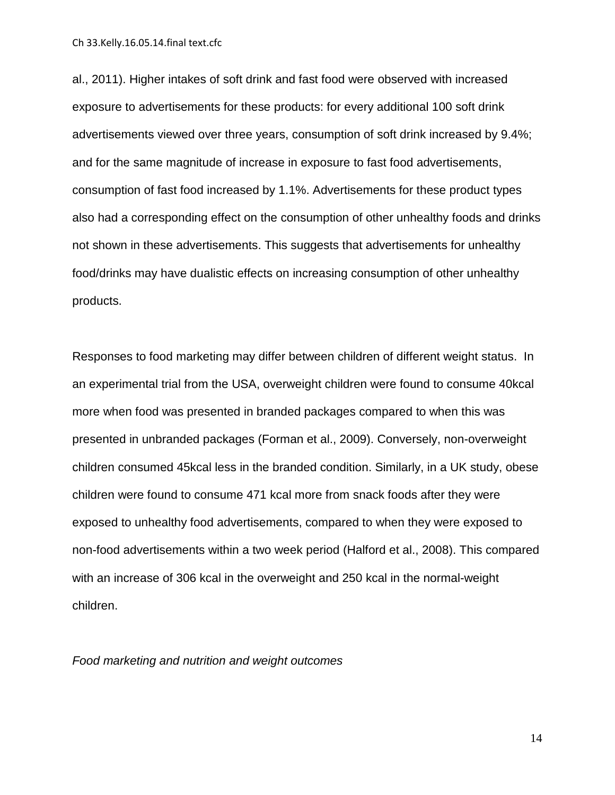Ch 33.Kelly.16.05.14.final text.cfc

[al., 2011\)](#page-21-7). Higher intakes of soft drink and fast food were observed with increased exposure to advertisements for these products: for every additional 100 soft drink advertisements viewed over three years, consumption of soft drink increased by 9.4%; and for the same magnitude of increase in exposure to fast food advertisements, consumption of fast food increased by 1.1%. Advertisements for these product types also had a corresponding effect on the consumption of other unhealthy foods and drinks not shown in these advertisements. This suggests that advertisements for unhealthy food/drinks may have dualistic effects on increasing consumption of other unhealthy products.

Responses to food marketing may differ between children of different weight status. In an experimental trial from the USA, overweight children were found to consume 40kcal more when food was presented in branded packages compared to when this was presented in unbranded packages [\(Forman et al., 2009\)](#page-23-5). Conversely, non-overweight children consumed 45kcal less in the branded condition. Similarly, in a UK study, obese children were found to consume 471 kcal more from snack foods after they were exposed to unhealthy food advertisements, compared to when they were exposed to non-food advertisements within a two week period [\(Halford et al., 2008\)](#page-23-6). This compared with an increase of 306 kcal in the overweight and 250 kcal in the normal-weight children.

*Food marketing and nutrition and weight outcomes*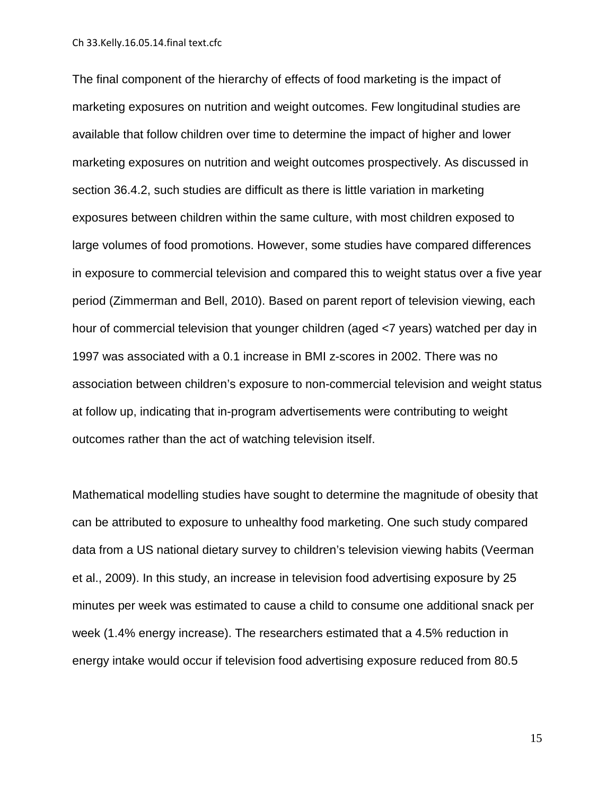Ch 33.Kelly.16.05.14.final text.cfc

The final component of the hierarchy of effects of food marketing is the impact of marketing exposures on nutrition and weight outcomes. Few longitudinal studies are available that follow children over time to determine the impact of higher and lower marketing exposures on nutrition and weight outcomes prospectively. As discussed in section 36.4.2, such studies are difficult as there is little variation in marketing exposures between children within the same culture, with most children exposed to large volumes of food promotions. However, some studies have compared differences in exposure to commercial television and compared this to weight status over a five year period [\(Zimmerman and Bell, 2010\)](#page-29-1). Based on parent report of television viewing, each hour of commercial television that younger children (aged <7 years) watched per day in 1997 was associated with a 0.1 increase in BMI z-scores in 2002. There was no association between children's exposure to non-commercial television and weight status at follow up, indicating that in-program advertisements were contributing to weight outcomes rather than the act of watching television itself.

Mathematical modelling studies have sought to determine the magnitude of obesity that can be attributed to exposure to unhealthy food marketing. One such study compared data from a US national dietary survey to children's television viewing habits [\(Veerman](#page-28-8)  [et al., 2009\)](#page-28-8). In this study, an increase in television food advertising exposure by 25 minutes per week was estimated to cause a child to consume one additional snack per week (1.4% energy increase). The researchers estimated that a 4.5% reduction in energy intake would occur if television food advertising exposure reduced from 80.5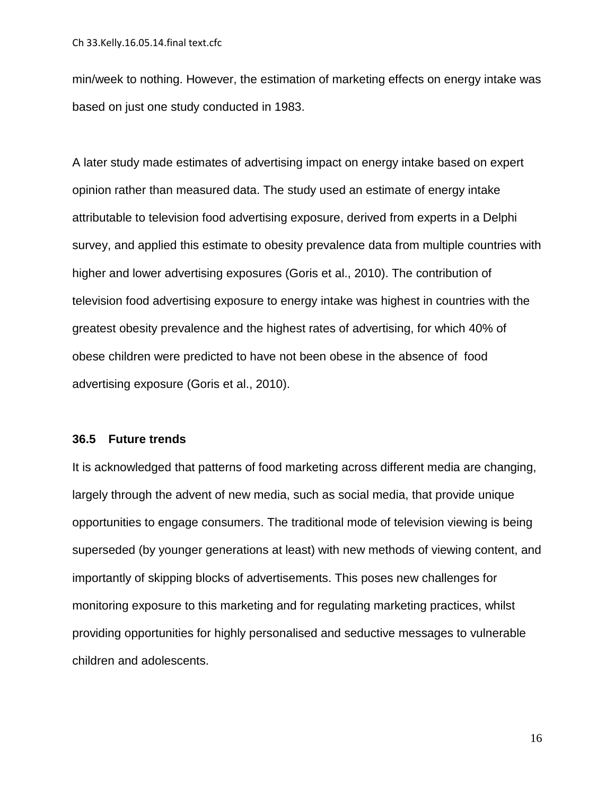min/week to nothing. However, the estimation of marketing effects on energy intake was based on just one study conducted in 1983.

A later study made estimates of advertising impact on energy intake based on expert opinion rather than measured data. The study used an estimate of energy intake attributable to television food advertising exposure, derived from experts in a Delphi survey, and applied this estimate to obesity prevalence data from multiple countries with higher and lower advertising exposures [\(Goris et al., 2010\)](#page-23-4). The contribution of television food advertising exposure to energy intake was highest in countries with the greatest obesity prevalence and the highest rates of advertising, for which 40% of obese children were predicted to have not been obese in the absence of food advertising exposure [\(Goris et al., 2010\)](#page-23-4).

### **36.5 Future trends**

It is acknowledged that patterns of food marketing across different media are changing, largely through the advent of new media, such as social media, that provide unique opportunities to engage consumers. The traditional mode of television viewing is being superseded (by younger generations at least) with new methods of viewing content, and importantly of skipping blocks of advertisements. This poses new challenges for monitoring exposure to this marketing and for regulating marketing practices, whilst providing opportunities for highly personalised and seductive messages to vulnerable children and adolescents.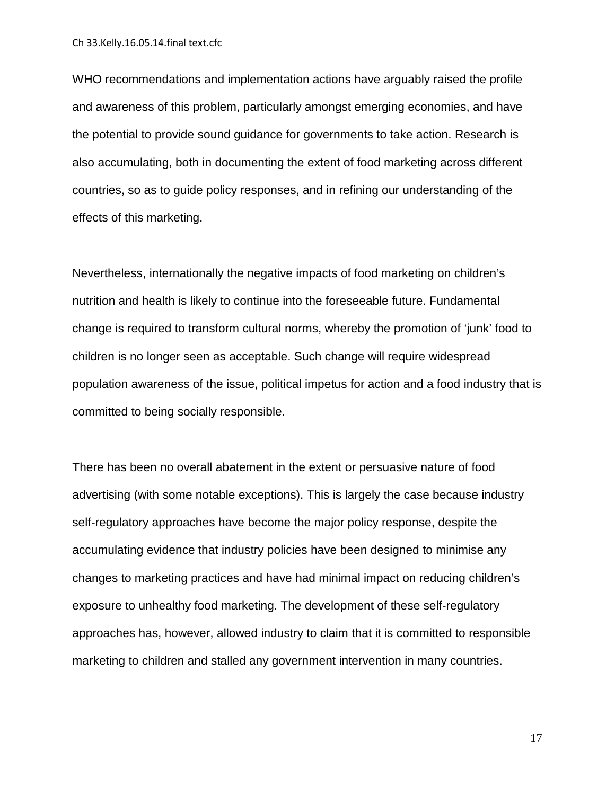Ch 33.Kelly.16.05.14.final text.cfc

WHO recommendations and implementation actions have arguably raised the profile and awareness of this problem, particularly amongst emerging economies, and have the potential to provide sound guidance for governments to take action. Research is also accumulating, both in documenting the extent of food marketing across different countries, so as to guide policy responses, and in refining our understanding of the effects of this marketing.

Nevertheless, internationally the negative impacts of food marketing on children's nutrition and health is likely to continue into the foreseeable future. Fundamental change is required to transform cultural norms, whereby the promotion of 'junk' food to children is no longer seen as acceptable. Such change will require widespread population awareness of the issue, political impetus for action and a food industry that is committed to being socially responsible.

There has been no overall abatement in the extent or persuasive nature of food advertising (with some notable exceptions). This is largely the case because industry self-regulatory approaches have become the major policy response, despite the accumulating evidence that industry policies have been designed to minimise any changes to marketing practices and have had minimal impact on reducing children's exposure to unhealthy food marketing. The development of these self-regulatory approaches has, however, allowed industry to claim that it is committed to responsible marketing to children and stalled any government intervention in many countries.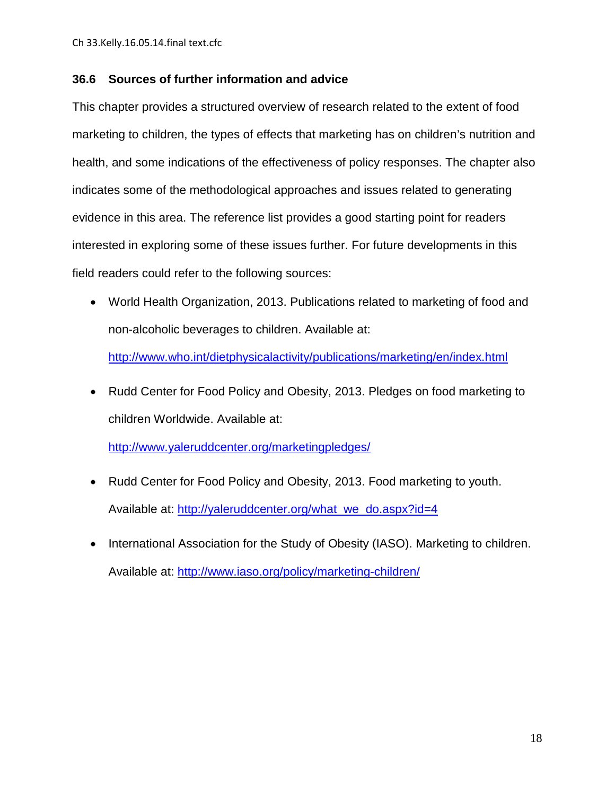### **36.6 Sources of further information and advice**

This chapter provides a structured overview of research related to the extent of food marketing to children, the types of effects that marketing has on children's nutrition and health, and some indications of the effectiveness of policy responses. The chapter also indicates some of the methodological approaches and issues related to generating evidence in this area. The reference list provides a good starting point for readers interested in exploring some of these issues further. For future developments in this field readers could refer to the following sources:

• World Health Organization, 2013. Publications related to marketing of food and non-alcoholic beverages to children. Available at:

<http://www.who.int/dietphysicalactivity/publications/marketing/en/index.html>

• Rudd Center for Food Policy and Obesity, 2013. Pledges on food marketing to children Worldwide. Available at:

<http://www.yaleruddcenter.org/marketingpledges/>

- Rudd Center for Food Policy and Obesity, 2013. Food marketing to youth. Available at: [http://yaleruddcenter.org/what\\_we\\_do.aspx?id=4](http://yaleruddcenter.org/what_we_do.aspx?id=4)
- International Association for the Study of Obesity (IASO). Marketing to children. Available at:<http://www.iaso.org/policy/marketing-children/>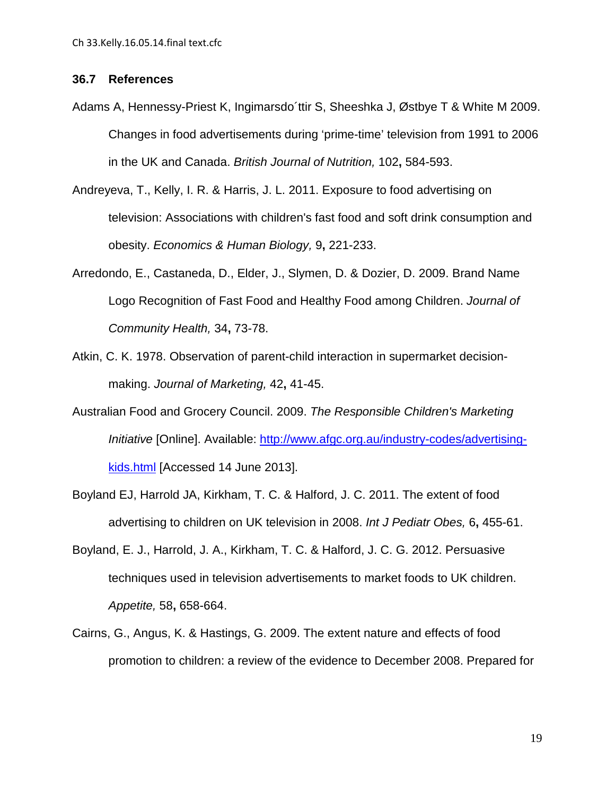### **36.7 References**

- <span id="page-21-1"></span>Adams A, Hennessy-Priest K, Ingimarsdo´ttir S, Sheeshka J, Østbye T & White M 2009. Changes in food advertisements during 'prime-time' television from 1991 to 2006 in the UK and Canada. *British Journal of Nutrition,* 102**,** 584-593.
- <span id="page-21-7"></span>Andreyeva, T., Kelly, I. R. & Harris, J. L. 2011. Exposure to food advertising on television: Associations with children's fast food and soft drink consumption and obesity. *Economics & Human Biology,* 9**,** 221-233.
- <span id="page-21-5"></span>Arredondo, E., Castaneda, D., Elder, J., Slymen, D. & Dozier, D. 2009. Brand Name Logo Recognition of Fast Food and Healthy Food among Children. *Journal of Community Health,* 34**,** 73-78.
- <span id="page-21-6"></span>Atkin, C. K. 1978. Observation of parent-child interaction in supermarket decisionmaking. *Journal of Marketing,* 42**,** 41-45.
- <span id="page-21-4"></span>Australian Food and Grocery Council. 2009. *The Responsible Children's Marketing Initiative* [Online]. Available: [http://www.afgc.org.au/industry-codes/advertising](http://www.afgc.org.au/industry-codes/advertising-kids.html)[kids.html](http://www.afgc.org.au/industry-codes/advertising-kids.html) [Accessed 14 June 2013].
- <span id="page-21-2"></span>Boyland EJ, Harrold JA, Kirkham, T. C. & Halford, J. C. 2011. The extent of food advertising to children on UK television in 2008. *Int J Pediatr Obes,* 6**,** 455-61.
- <span id="page-21-3"></span>Boyland, E. J., Harrold, J. A., Kirkham, T. C. & Halford, J. C. G. 2012. Persuasive techniques used in television advertisements to market foods to UK children. *Appetite,* 58**,** 658-664.
- <span id="page-21-0"></span>Cairns, G., Angus, K. & Hastings, G. 2009. The extent nature and effects of food promotion to children: a review of the evidence to December 2008. Prepared for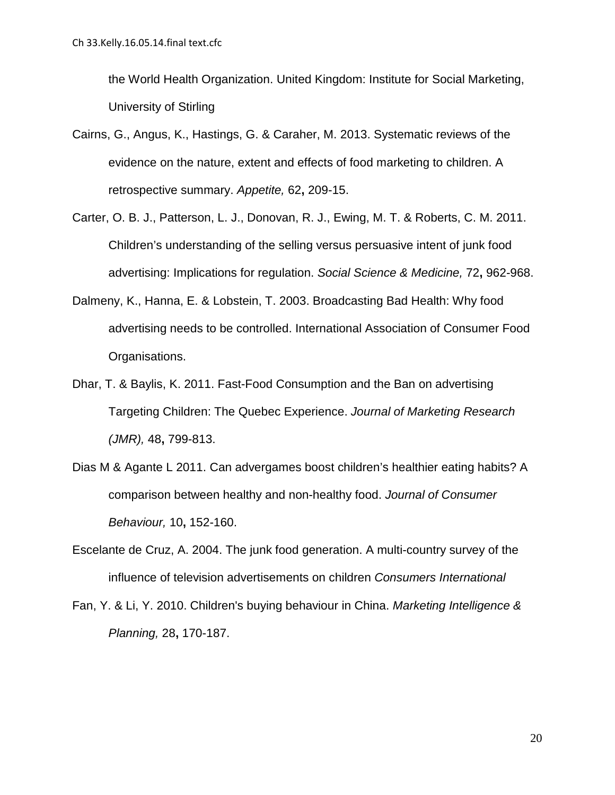the World Health Organization. United Kingdom: Institute for Social Marketing, University of Stirling

- <span id="page-22-0"></span>Cairns, G., Angus, K., Hastings, G. & Caraher, M. 2013. Systematic reviews of the evidence on the nature, extent and effects of food marketing to children. A retrospective summary. *Appetite,* 62**,** 209-15.
- <span id="page-22-3"></span>Carter, O. B. J., Patterson, L. J., Donovan, R. J., Ewing, M. T. & Roberts, C. M. 2011. Children's understanding of the selling versus persuasive intent of junk food advertising: Implications for regulation. *Social Science & Medicine,* 72**,** 962-968.
- <span id="page-22-1"></span>Dalmeny, K., Hanna, E. & Lobstein, T. 2003. Broadcasting Bad Health: Why food advertising needs to be controlled. International Association of Consumer Food Organisations.
- <span id="page-22-6"></span>Dhar, T. & Baylis, K. 2011. Fast-Food Consumption and the Ban on advertising Targeting Children: The Quebec Experience. *Journal of Marketing Research (JMR),* 48**,** 799-813.
- <span id="page-22-5"></span>Dias M & Agante L 2011. Can advergames boost children's healthier eating habits? A comparison between healthy and non-healthy food. *Journal of Consumer Behaviour,* 10**,** 152-160.
- <span id="page-22-2"></span>Escelante de Cruz, A. 2004. The junk food generation. A multi-country survey of the influence of television advertisements on children *Consumers International*
- <span id="page-22-4"></span>Fan, Y. & Li, Y. 2010. Children's buying behaviour in China. *Marketing Intelligence & Planning,* 28**,** 170-187.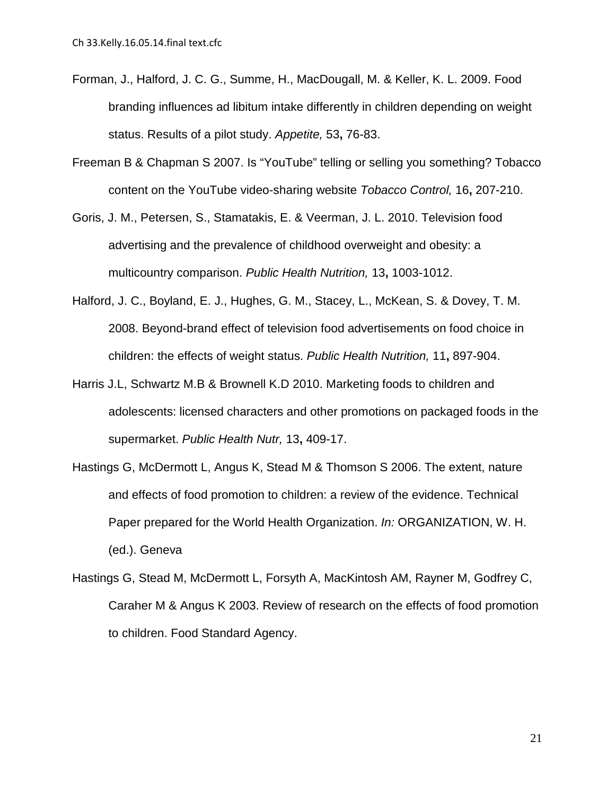- <span id="page-23-5"></span>Forman, J., Halford, J. C. G., Summe, H., MacDougall, M. & Keller, K. L. 2009. Food branding influences ad libitum intake differently in children depending on weight status. Results of a pilot study. *Appetite,* 53**,** 76-83.
- <span id="page-23-3"></span>Freeman B & Chapman S 2007. Is "YouTube" telling or selling you something? Tobacco content on the YouTube video-sharing website *Tobacco Control,* 16**,** 207-210.
- <span id="page-23-4"></span>Goris, J. M., Petersen, S., Stamatakis, E. & Veerman, J. L. 2010. Television food advertising and the prevalence of childhood overweight and obesity: a multicountry comparison. *Public Health Nutrition,* 13**,** 1003-1012.
- <span id="page-23-6"></span>Halford, J. C., Boyland, E. J., Hughes, G. M., Stacey, L., McKean, S. & Dovey, T. M. 2008. Beyond-brand effect of television food advertisements on food choice in children: the effects of weight status. *Public Health Nutrition,* 11**,** 897-904.
- <span id="page-23-2"></span>Harris J.L, Schwartz M.B & Brownell K.D 2010. Marketing foods to children and adolescents: licensed characters and other promotions on packaged foods in the supermarket. *Public Health Nutr,* 13**,** 409-17.
- <span id="page-23-0"></span>Hastings G, McDermott L, Angus K, Stead M & Thomson S 2006. The extent, nature and effects of food promotion to children: a review of the evidence. Technical Paper prepared for the World Health Organization. *In:* ORGANIZATION, W. H. (ed.). Geneva
- <span id="page-23-1"></span>Hastings G, Stead M, McDermott L, Forsyth A, MacKintosh AM, Rayner M, Godfrey C, Caraher M & Angus K 2003. Review of research on the effects of food promotion to children. Food Standard Agency.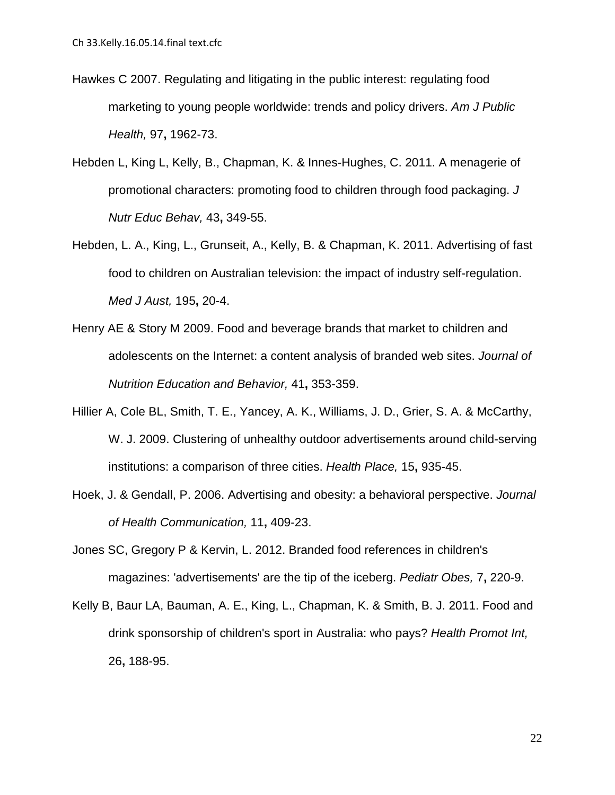- <span id="page-24-6"></span>Hawkes C 2007. Regulating and litigating in the public interest: regulating food marketing to young people worldwide: trends and policy drivers. *Am J Public Health,* 97**,** 1962-73.
- <span id="page-24-5"></span>Hebden L, King L, Kelly, B., Chapman, K. & Innes-Hughes, C. 2011. A menagerie of promotional characters: promoting food to children through food packaging. *J Nutr Educ Behav,* 43**,** 349-55.
- <span id="page-24-7"></span>Hebden, L. A., King, L., Grunseit, A., Kelly, B. & Chapman, K. 2011. Advertising of fast food to children on Australian television: the impact of industry self-regulation. *Med J Aust,* 195**,** 20-4.
- <span id="page-24-4"></span>Henry AE & Story M 2009. Food and beverage brands that market to children and adolescents on the Internet: a content analysis of branded web sites. *Journal of Nutrition Education and Behavior,* 41**,** 353-359.
- <span id="page-24-2"></span>Hillier A, Cole BL, Smith, T. E., Yancey, A. K., Williams, J. D., Grier, S. A. & McCarthy, W. J. 2009. Clustering of unhealthy outdoor advertisements around child-serving institutions: a comparison of three cities. *Health Place,* 15**,** 935-45.
- <span id="page-24-0"></span>Hoek, J. & Gendall, P. 2006. Advertising and obesity: a behavioral perspective. *Journal of Health Communication,* 11**,** 409-23.
- <span id="page-24-1"></span>Jones SC, Gregory P & Kervin, L. 2012. Branded food references in children's magazines: 'advertisements' are the tip of the iceberg. *Pediatr Obes,* 7**,** 220-9.
- <span id="page-24-3"></span>Kelly B, Baur LA, Bauman, A. E., King, L., Chapman, K. & Smith, B. J. 2011. Food and drink sponsorship of children's sport in Australia: who pays? *Health Promot Int,* 26**,** 188-95.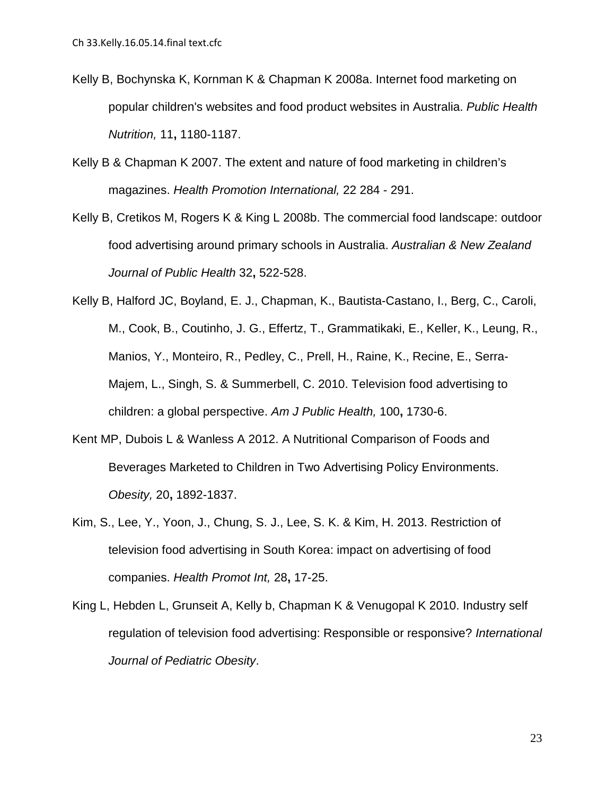- <span id="page-25-2"></span>Kelly B, Bochynska K, Kornman K & Chapman K 2008a. Internet food marketing on popular children's websites and food product websites in Australia. *Public Health Nutrition,* 11**,** 1180-1187.
- <span id="page-25-1"></span>Kelly B & Chapman K 2007. The extent and nature of food marketing in children's magazines. *Health Promotion International,* 22 284 - 291.
- <span id="page-25-3"></span>Kelly B, Cretikos M, Rogers K & King L 2008b. The commercial food landscape: outdoor food advertising around primary schools in Australia. *Australian & New Zealand Journal of Public Health* 32**,** 522-528.
- <span id="page-25-0"></span>Kelly B, Halford JC, Boyland, E. J., Chapman, K., Bautista-Castano, I., Berg, C., Caroli, M., Cook, B., Coutinho, J. G., Effertz, T., Grammatikaki, E., Keller, K., Leung, R., Manios, Y., Monteiro, R., Pedley, C., Prell, H., Raine, K., Recine, E., Serra-Majem, L., Singh, S. & Summerbell, C. 2010. Television food advertising to children: a global perspective. *Am J Public Health,* 100**,** 1730-6.
- <span id="page-25-5"></span>Kent MP, Dubois L & Wanless A 2012. A Nutritional Comparison of Foods and Beverages Marketed to Children in Two Advertising Policy Environments. *Obesity,* 20**,** 1892-1837.
- <span id="page-25-6"></span>Kim, S., Lee, Y., Yoon, J., Chung, S. J., Lee, S. K. & Kim, H. 2013. Restriction of television food advertising in South Korea: impact on advertising of food companies. *Health Promot Int,* 28**,** 17-25.
- <span id="page-25-4"></span>King L, Hebden L, Grunseit A, Kelly b, Chapman K & Venugopal K 2010. Industry self regulation of television food advertising: Responsible or responsive? *International Journal of Pediatric Obesity*.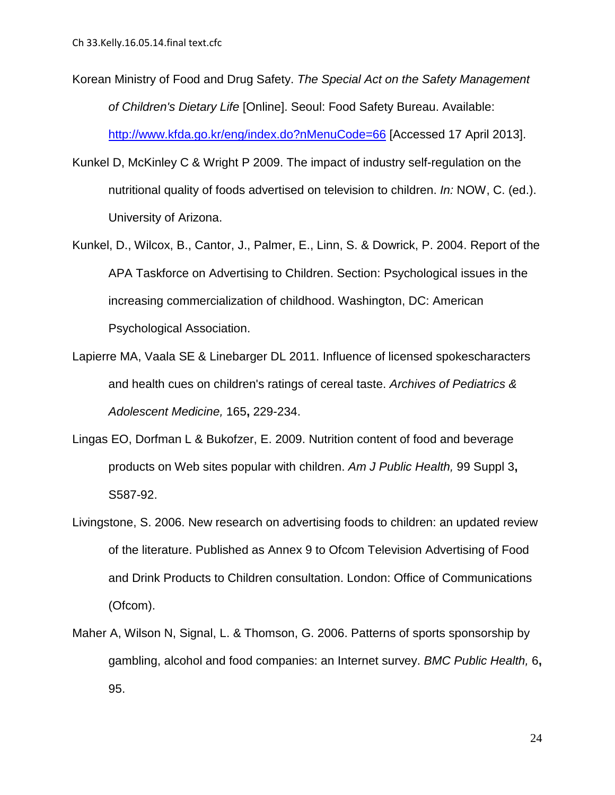- <span id="page-26-4"></span>Korean Ministry of Food and Drug Safety. *The Special Act on the Safety Management of Children's Dietary Life* [Online]. Seoul: Food Safety Bureau. Available: <http://www.kfda.go.kr/eng/index.do?nMenuCode=66> [Accessed 17 April 2013].
- <span id="page-26-3"></span>Kunkel D, McKinley C & Wright P 2009. The impact of industry self-regulation on the nutritional quality of foods advertised on television to children. *In:* NOW, C. (ed.). University of Arizona.
- <span id="page-26-5"></span>Kunkel, D., Wilcox, B., Cantor, J., Palmer, E., Linn, S. & Dowrick, P. 2004. Report of the APA Taskforce on Advertising to Children. Section: Psychological issues in the increasing commercialization of childhood. Washington, DC: American Psychological Association.
- <span id="page-26-6"></span>Lapierre MA, Vaala SE & Linebarger DL 2011. Influence of licensed spokescharacters and health cues on children's ratings of cereal taste. *Archives of Pediatrics & Adolescent Medicine,* 165**,** 229-234.
- <span id="page-26-1"></span>Lingas EO, Dorfman L & Bukofzer, E. 2009. Nutrition content of food and beverage products on Web sites popular with children. *Am J Public Health,* 99 Suppl 3**,** S587-92.
- <span id="page-26-0"></span>Livingstone, S. 2006. New research on advertising foods to children: an updated review of the literature. Published as Annex 9 to Ofcom Television Advertising of Food and Drink Products to Children consultation. London: Office of Communications (Ofcom).
- <span id="page-26-2"></span>Maher A, Wilson N, Signal, L. & Thomson, G. 2006. Patterns of sports sponsorship by gambling, alcohol and food companies: an Internet survey. *BMC Public Health,* 6**,** 95.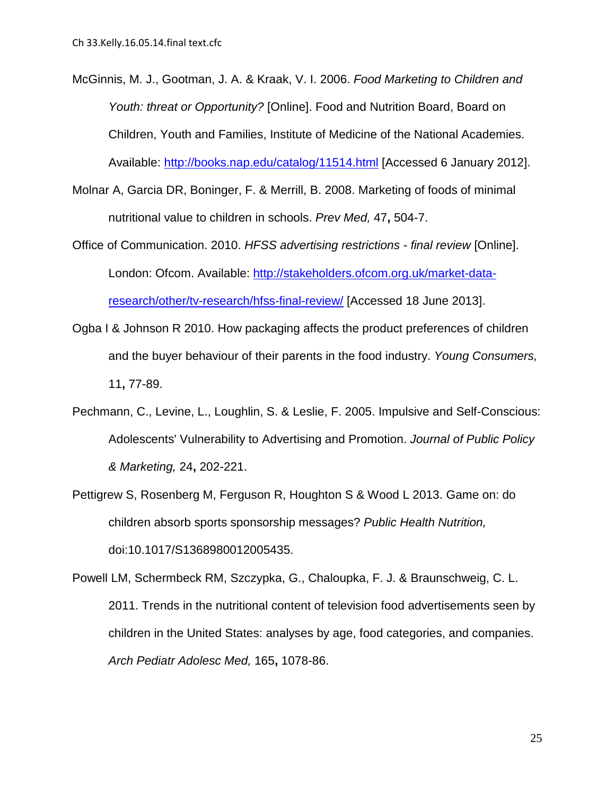- <span id="page-27-0"></span>McGinnis, M. J., Gootman, J. A. & Kraak, V. I. 2006. *Food Marketing to Children and Youth: threat or Opportunity?* [Online]. Food and Nutrition Board, Board on Children, Youth and Families, Institute of Medicine of the National Academies. Available:<http://books.nap.edu/catalog/11514.html> [Accessed 6 January 2012].
- <span id="page-27-2"></span>Molnar A, Garcia DR, Boninger, F. & Merrill, B. 2008. Marketing of foods of minimal nutritional value to children in schools. *Prev Med,* 47**,** 504-7.
- <span id="page-27-3"></span>Office of Communication. 2010. *HFSS advertising restrictions - final review* [Online]. London: Ofcom. Available: [http://stakeholders.ofcom.org.uk/market-data](http://stakeholders.ofcom.org.uk/market-data-research/other/tv-research/hfss-final-review/)[research/other/tv-research/hfss-final-review/](http://stakeholders.ofcom.org.uk/market-data-research/other/tv-research/hfss-final-review/) [Accessed 18 June 2013].
- <span id="page-27-6"></span>Ogba I & Johnson R 2010. How packaging affects the product preferences of children and the buyer behaviour of their parents in the food industry. *Young Consumers,* 11**,** 77-89.
- <span id="page-27-4"></span>Pechmann, C., Levine, L., Loughlin, S. & Leslie, F. 2005. Impulsive and Self-Conscious: Adolescents' Vulnerability to Advertising and Promotion. *Journal of Public Policy & Marketing,* 24**,** 202-221.
- <span id="page-27-5"></span>Pettigrew S, Rosenberg M, Ferguson R, Houghton S & Wood L 2013. Game on: do children absorb sports sponsorship messages? *Public Health Nutrition,* doi:10.1017/S1368980012005435.
- <span id="page-27-1"></span>Powell LM, Schermbeck RM, Szczypka, G., Chaloupka, F. J. & Braunschweig, C. L. 2011. Trends in the nutritional content of television food advertisements seen by children in the United States: analyses by age, food categories, and companies. *Arch Pediatr Adolesc Med,* 165**,** 1078-86.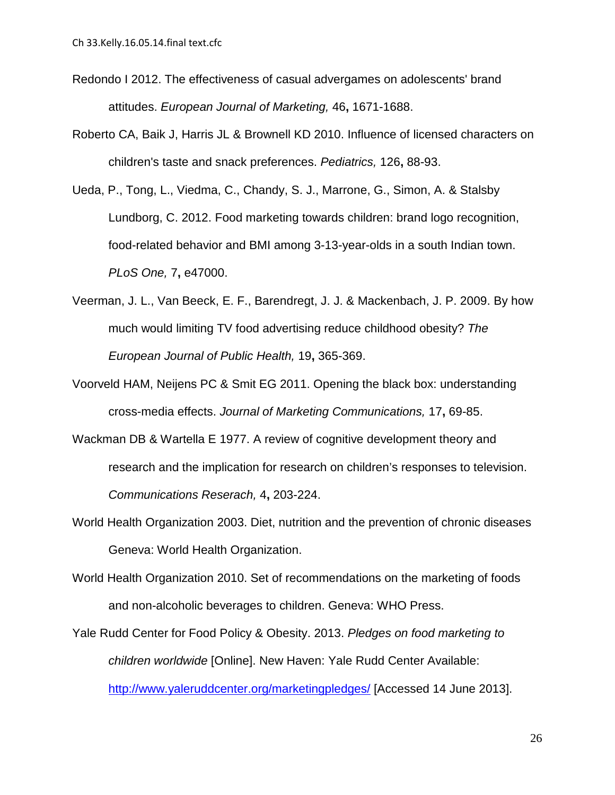- <span id="page-28-6"></span>Redondo I 2012. The effectiveness of casual advergames on adolescents' brand attitudes. *European Journal of Marketing,* 46**,** 1671-1688.
- <span id="page-28-7"></span>Roberto CA, Baik J, Harris JL & Brownell KD 2010. Influence of licensed characters on children's taste and snack preferences. *Pediatrics,* 126**,** 88-93.
- <span id="page-28-5"></span>Ueda, P., Tong, L., Viedma, C., Chandy, S. J., Marrone, G., Simon, A. & Stalsby Lundborg, C. 2012. Food marketing towards children: brand logo recognition, food-related behavior and BMI among 3-13-year-olds in a south Indian town. *PLoS One,* 7**,** e47000.
- <span id="page-28-8"></span>Veerman, J. L., Van Beeck, E. F., Barendregt, J. J. & Mackenbach, J. P. 2009. By how much would limiting TV food advertising reduce childhood obesity? *The European Journal of Public Health,* 19**,** 365-369.
- <span id="page-28-1"></span>Voorveld HAM, Neijens PC & Smit EG 2011. Opening the black box: understanding cross-media effects. *Journal of Marketing Communications,* 17**,** 69-85.
- <span id="page-28-4"></span>Wackman DB & Wartella E 1977. A review of cognitive development theory and research and the implication for research on children's responses to television. *Communications Reserach,* 4**,** 203-224.
- <span id="page-28-0"></span>World Health Organization 2003. Diet, nutrition and the prevention of chronic diseases Geneva: World Health Organization.
- <span id="page-28-2"></span>World Health Organization 2010. Set of recommendations on the marketing of foods and non-alcoholic beverages to children. Geneva: WHO Press.
- <span id="page-28-3"></span>Yale Rudd Center for Food Policy & Obesity. 2013. *Pledges on food marketing to children worldwide* [Online]. New Haven: Yale Rudd Center Available: <http://www.yaleruddcenter.org/marketingpledges/> [Accessed 14 June 2013].